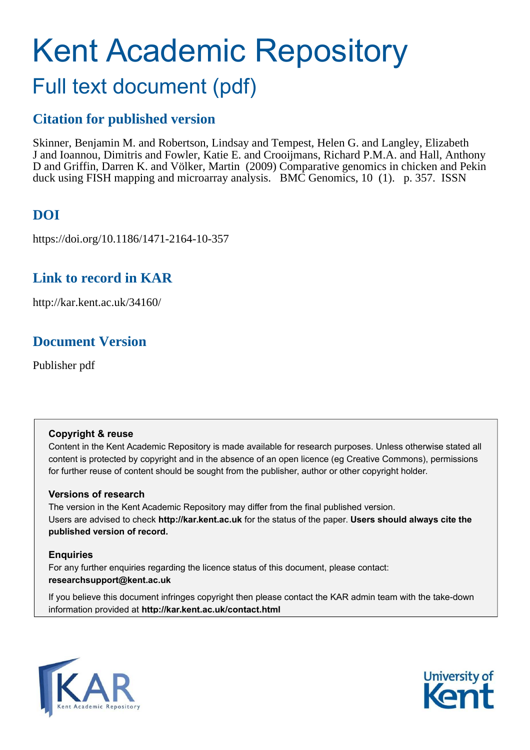# Kent Academic Repository

## Full text document (pdf)

## **Citation for published version**

Skinner, Benjamin M. and Robertson, Lindsay and Tempest, Helen G. and Langley, Elizabeth J and Ioannou, Dimitris and Fowler, Katie E. and Crooijmans, Richard P.M.A. and Hall, Anthony D and Griffin, Darren K. and Völker, Martin (2009) Comparative genomics in chicken and Pekin duck using FISH mapping and microarray analysis. BMC Genomics, 10 (1). p. 357. ISSN

## **DOI**

https://doi.org/10.1186/1471-2164-10-357

## **Link to record in KAR**

http://kar.kent.ac.uk/34160/

## **Document Version**

Publisher pdf

#### **Copyright & reuse**

Content in the Kent Academic Repository is made available for research purposes. Unless otherwise stated all content is protected by copyright and in the absence of an open licence (eg Creative Commons), permissions for further reuse of content should be sought from the publisher, author or other copyright holder.

#### **Versions of research**

The version in the Kent Academic Repository may differ from the final published version. Users are advised to check **http://kar.kent.ac.uk** for the status of the paper. **Users should always cite the published version of record.**

#### **Enquiries**

For any further enquiries regarding the licence status of this document, please contact: **researchsupport@kent.ac.uk**

If you believe this document infringes copyright then please contact the KAR admin team with the take-down information provided at **http://kar.kent.ac.uk/contact.html**



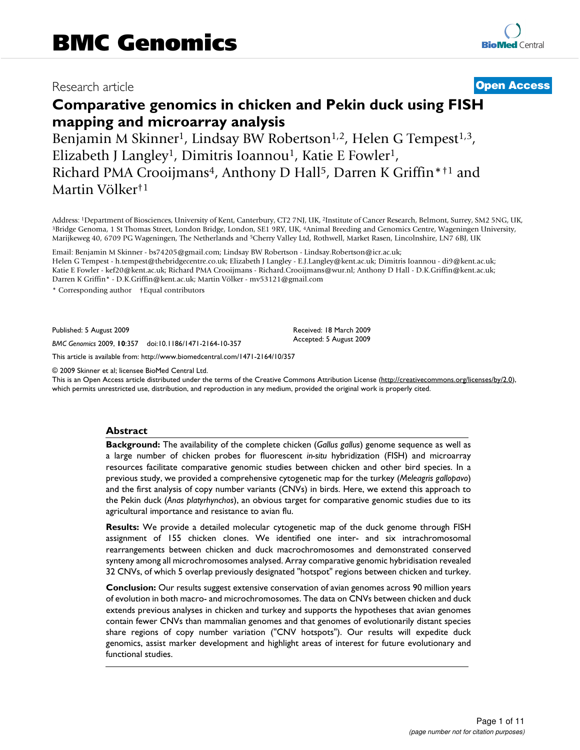### Research article **Contract Contract Contract Contract Contract Contract Contract Contract Contract Contract Contract Contract Contract Contract Contract Contract Contract Contract Contract Contract Contract Contract Contra**

## **Comparative genomics in chicken and Pekin duck using FISH mapping and microarray analysis**

Benjamin M Skinner<sup>1</sup>, Lindsay BW Robertson<sup>1,2</sup>, Helen G Tempest<sup>1,3</sup>, Elizabeth J Langley<sup>1</sup>, Dimitris Ioannou<sup>1</sup>, Katie E Fowler<sup>1</sup>, Richard PMA Crooijmans<sup>4</sup>, Anthony D Hall<sup>5</sup>, Darren K Griffin\*†1 and Martin Völker†1

Address: <sup>1</sup>Department of Biosciences, University of Kent, Canterbury, CT2 7NJ, UK, <sup>2</sup>Institute of Cancer Research, Belmont, Surrey, SM2 5NG, UK, <sup>3</sup>Bridge Genoma, 1 St Thomas Street, London Bridge, London, SE1 9RY, UK, <sup>4</sup>Animal Breeding and Genomics Centre, Wageningen University, Marijkeweg 40, 6709 PG Wageningen, The Netherlands and <sup>5</sup>Cherry Valley Ltd, Rothwell, Market Rasen, Lincolnshire, LN7 6BJ, UK

Email: Benjamin M Skinner - bs74205@gmail.com; Lindsay BW Robertson - Lindsay.Robertson@icr.ac.uk; Helen G Tempest - h.tempest@thebridgecentre.co.uk; Elizabeth J Langley - E.J.Langley@kent.ac.uk; Dimitris Ioannou - di9@kent.ac.uk; Katie E Fowler - kef20@kent.ac.uk; Richard PMA Crooijmans - Richard.Crooijmans@wur.nl; Anthony D Hall - D.K.Griffin@kent.ac.uk; Darren K Griffin\* - D.K.Griffin@kent.ac.uk; Martin Völker - mv53121@gmail.com

\* Corresponding author †Equal contributors

Published: 5 August 2009

*BMC Genomics* 2009, **10**:357 doi:10.1186/1471-2164-10-357

[This article is available from: http://www.biomedcentral.com/1471-2164/10/357](http://www.biomedcentral.com/1471-2164/10/357)

© 2009 Skinner et al; licensee BioMed Central Ltd.

This is an Open Access article distributed under the terms of the Creative Commons Attribution License [\(http://creativecommons.org/licenses/by/2.0\)](http://creativecommons.org/licenses/by/2.0), which permits unrestricted use, distribution, and reproduction in any medium, provided the original work is properly cited.

Received: 18 March 2009 Accepted: 5 August 2009

#### **Abstract**

**Background:** The availability of the complete chicken (*Gallus gallus*) genome sequence as well as a large number of chicken probes for fluorescent *in-situ* hybridization (FISH) and microarray resources facilitate comparative genomic studies between chicken and other bird species. In a previous study, we provided a comprehensive cytogenetic map for the turkey (*Meleagris gallopavo*) and the first analysis of copy number variants (CNVs) in birds. Here, we extend this approach to the Pekin duck (*Anas platyrhynchos*), an obvious target for comparative genomic studies due to its agricultural importance and resistance to avian flu.

**Results:** We provide a detailed molecular cytogenetic map of the duck genome through FISH assignment of 155 chicken clones. We identified one inter- and six intrachromosomal rearrangements between chicken and duck macrochromosomes and demonstrated conserved synteny among all microchromosomes analysed. Array comparative genomic hybridisation revealed 32 CNVs, of which 5 overlap previously designated "hotspot" regions between chicken and turkey.

**Conclusion:** Our results suggest extensive conservation of avian genomes across 90 million years of evolution in both macro- and microchromosomes. The data on CNVs between chicken and duck extends previous analyses in chicken and turkey and supports the hypotheses that avian genomes contain fewer CNVs than mammalian genomes and that genomes of evolutionarily distant species share regions of copy number variation ("CNV hotspots"). Our results will expedite duck genomics, assist marker development and highlight areas of interest for future evolutionary and functional studies.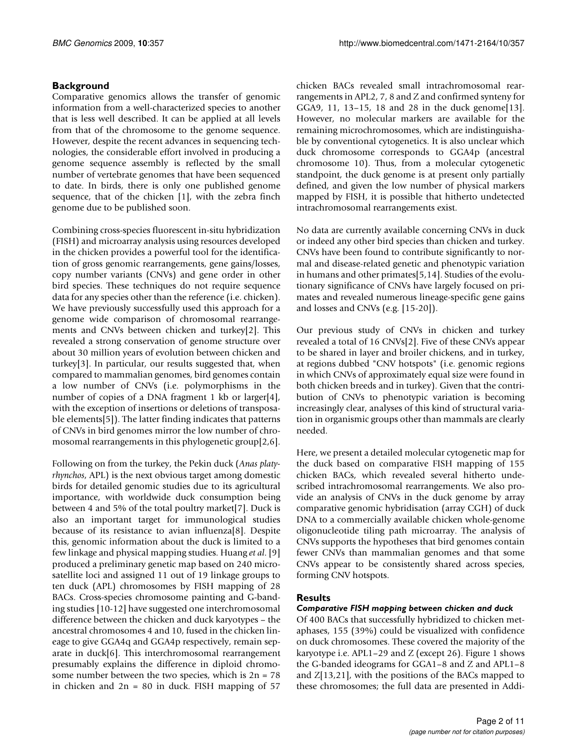#### <span id="page-2-0"></span>**Background**

Comparative genomics allows the transfer of genomic information from a well-characterized species to another that is less well described. It can be applied at all levels from that of the chromosome to the genome sequence. However, despite the recent advances in sequencing technologies, the considerable effort involved in producing a genome sequence assembly is reflected by the small number of vertebrate genomes that have been sequenced to date. In birds, there is only one published genome sequence, that of the chicken [\[1\]](#page-9-0), with the zebra finch genome due to be published soon.

Combining cross-species fluorescent in-situ hybridization (FISH) and microarray analysis using resources developed in the chicken provides a powerful tool for the identification of gross genomic rearrangements, gene gains/losses, copy number variants (CNVs) and gene order in other bird species. These techniques do not require sequence data for any species other than the reference (i.e. chicken). We have previously successfully used this approach for a genome wide comparison of chromosomal rearrangements and CNVs between chicken and turkey[\[2\]](#page-9-1). This revealed a strong conservation of genome structure over about 30 million years of evolution between chicken and turkey[[3](#page-9-2)]. In particular, our results suggested that, when compared to mammalian genomes, bird genomes contain a low number of CNVs (i.e. polymorphisms in the number of copies of a DNA fragment 1 kb or larger[[4](#page-9-3)], with the exception of insertions or deletions of transposable elements[\[5\]](#page-9-4)). The latter finding indicates that patterns of CNVs in bird genomes mirror the low number of chromosomal rearrangements in this phylogenetic group[[2](#page-9-1),[6](#page-9-5)].

Following on from the turkey, the Pekin duck (*Anas platyrhynchos*, APL) is the next obvious target among domestic birds for detailed genomic studies due to its agricultural importance, with worldwide duck consumption being between 4 and 5% of the total poultry market[[7](#page-9-6)]. Duck is also an important target for immunological studies because of its resistance to avian influenza[\[8\]](#page-9-7). Despite this, genomic information about the duck is limited to a few linkage and physical mapping studies. Huang *et al*. [\[9\]](#page-9-8) produced a preliminary genetic map based on 240 microsatellite loci and assigned 11 out of 19 linkage groups to ten duck (APL) chromosomes by FISH mapping of 28 BACs. Cross-species chromosome painting and G-banding studies [\[10](#page-9-9)[-12](#page-9-10)] have suggested one interchromosomal difference between the chicken and duck karyotypes – the ancestral chromosomes 4 and 10, fused in the chicken lineage to give GGA4q and GGA4p respectively, remain separate in duck[[6](#page-9-5)]. This interchromosomal rearrangement presumably explains the difference in diploid chromosome number between the two species, which is  $2n = 78$ in chicken and  $2n = 80$  in duck. FISH mapping of 57

chicken BACs revealed small intrachromosomal rearrangements in APL2, 7, 8 and Z and confirmed synteny for GGA9, 11, 13–15, 18 and 28 in the duck genome[\[13](#page-9-11)]. However, no molecular markers are available for the remaining microchromosomes, which are indistinguishable by conventional cytogenetics. It is also unclear which duck chromosome corresponds to GGA4p (ancestral chromosome 10). Thus, from a molecular cytogenetic standpoint, the duck genome is at present only partially defined, and given the low number of physical markers mapped by FISH, it is possible that hitherto undetected intrachromosomal rearrangements exist.

No data are currently available concerning CNVs in duck or indeed any other bird species than chicken and turkey. CNVs have been found to contribute significantly to normal and disease-related genetic and phenotypic variation in humans and other primates[[5](#page-9-4),[14](#page-9-12)]. Studies of the evolutionary significance of CNVs have largely focused on primates and revealed numerous lineage-specific gene gains and losses and CNVs (e.g. [[15-](#page-9-13)[20](#page-9-14)]).

Our previous study of CNVs in chicken and turkey revealed a total of 16 CNVs[[2](#page-9-1)]. Five of these CNVs appear to be shared in layer and broiler chickens, and in turkey, at regions dubbed "CNV hotspots" (i.e. genomic regions in which CNVs of approximately equal size were found in both chicken breeds and in turkey). Given that the contribution of CNVs to phenotypic variation is becoming increasingly clear, analyses of this kind of structural variation in organismic groups other than mammals are clearly needed.

Here, we present a detailed molecular cytogenetic map for the duck based on comparative FISH mapping of 155 chicken BACs, which revealed several hitherto undescribed intrachromosomal rearrangements. We also provide an analysis of CNVs in the duck genome by array comparative genomic hybridisation (array CGH) of duck DNA to a commercially available chicken whole-genome oligonucleotide tiling path microarray. The analysis of CNVs supports the hypotheses that bird genomes contain fewer CNVs than mammalian genomes and that some CNVs appear to be consistently shared across species, forming CNV hotspots.

#### **Results**

#### *Comparative FISH mapping between chicken and duck*

Of 400 BACs that successfully hybridized to chicken metaphases, 155 (39%) could be visualized with confidence on duck chromosomes. These covered the majority of the karyotype i.e. APL1–29 and Z (except 26). Figure [1](#page-2-0) shows the G-banded ideograms for GGA1–8 and Z and APL1–8 and Z[\[13](#page-9-11),[21](#page-9-15)], with the positions of the BACs mapped to these chromosomes; the full data are presented in Addi-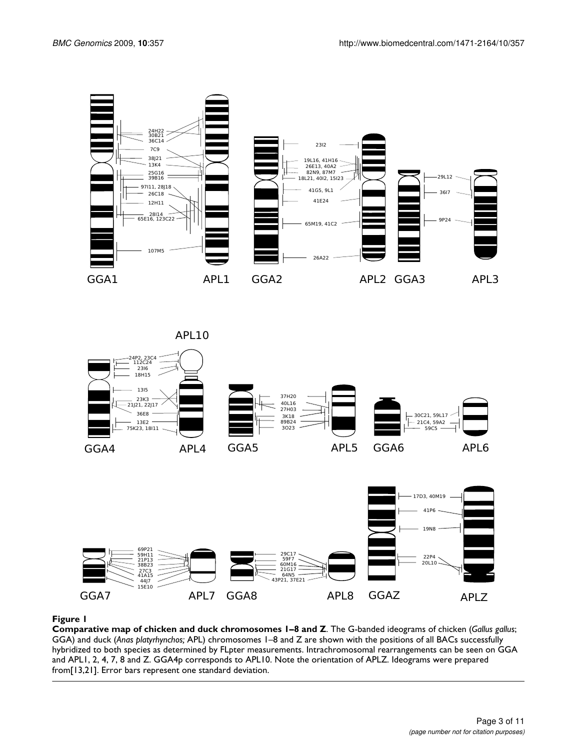





#### Figure 1

**Comparative map of chicken and duck chromosomes 1–8 and Z**. The G-banded ideograms of chicken (*Gallus gallus*; GGA) and duck (*Anas platyrhynchos;* APL) chromosomes 1–8 and Z are shown with the positions of all BACs successfully hybridized to both species as determined by FLpter measurements. Intrachromosomal rearrangements can be seen on GGA and APL1, 2, 4, 7, 8 and Z. GGA4p corresponds to APL10. Note the orientation of APLZ. Ideograms were prepared from[[13](#page-9-11)[,21](#page-9-15)]. Error bars represent one standard deviation.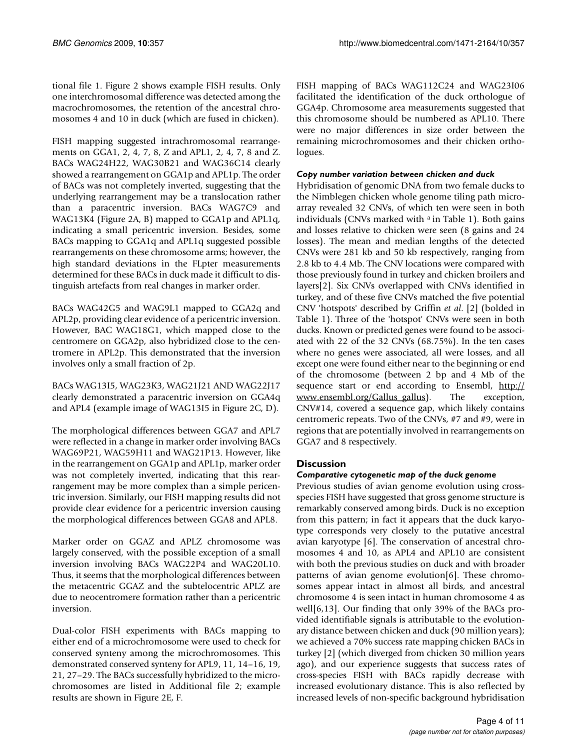<span id="page-4-0"></span>tional file [1](#page-9-16). Figure [2](#page-4-0) shows example FISH results. Only one interchromosomal difference was detected among the macrochromosomes, the retention of the ancestral chromosomes 4 and 10 in duck (which are fused in chicken).

FISH mapping suggested intrachromosomal rearrangements on GGA1, 2, 4, 7, 8, Z and APL1, 2, 4, 7, 8 and Z. BACs WAG24H22, WAG30B21 and WAG36C14 clearly showed a rearrangement on GGA1p and APL1p. The order of BACs was not completely inverted, suggesting that the underlying rearrangement may be a translocation rather than a paracentric inversion. BACs WAG7C9 and WAG13K4 (Figure [2A](#page-4-0), B) mapped to GGA1p and APL1q, indicating a small pericentric inversion. Besides, some BACs mapping to GGA1q and APL1q suggested possible rearrangements on these chromosome arms; however, the high standard deviations in the FLpter measurements determined for these BACs in duck made it difficult to distinguish artefacts from real changes in marker order.

BACs WAG42G5 and WAG9L1 mapped to GGA2q and APL2p, providing clear evidence of a pericentric inversion. However, BAC WAG18G1, which mapped close to the centromere on GGA2p, also hybridized close to the centromere in APL2p. This demonstrated that the inversion involves only a small fraction of 2p.

BACs WAG13I5, WAG23K3, WAG21J21 AND WAG22J17 clearly demonstrated a paracentric inversion on GGA4q and APL4 (example image of WAG13I5 in Figure [2C](#page-4-0), D).

The morphological differences between GGA7 and APL7 were reflected in a change in marker order involving BACs WAG69P21, WAG59H11 and WAG21P13. However, like in the rearrangement on GGA1p and APL1p, marker order was not completely inverted, indicating that this rearrangement may be more complex than a simple pericentric inversion. Similarly, our FISH mapping results did not provide clear evidence for a pericentric inversion causing the morphological differences between GGA8 and APL8.

Marker order on GGAZ and APLZ chromosome was largely conserved, with the possible exception of a small inversion involving BACs WAG22P4 and WAG20L10. Thus, it seems that the morphological differences between the metacentric GGAZ and the subtelocentric APLZ are due to neocentromere formation rather than a pericentric inversion.

Dual-color FISH experiments with BACs mapping to either end of a microchromosome were used to check for conserved synteny among the microchromosomes. This demonstrated conserved synteny for APL9, 11, 14–16, 19, 21, 27–29. The BACs successfully hybridized to the microchromosomes are listed in Additional file [2](#page-9-17); example results are shown in Figure [2E](#page-4-0), F.

FISH mapping of BACs WAG112C24 and WAG23I06 facilitated the identification of the duck orthologue of GGA4p. Chromosome area measurements suggested that this chromosome should be numbered as APL10. There were no major differences in size order between the remaining microchromosomes and their chicken orthologues.

#### *Copy number variation between chicken and duck*

Hybridisation of genomic DNA from two female ducks to the Nimblegen chicken whole genome tiling path microarray revealed 32 CNVs, of which ten were seen in both individuals (CNVs marked with  $a$  in Table [1](#page-5-0)). Both gains and losses relative to chicken were seen (8 gains and 24 losses). The mean and median lengths of the detected CNVs were 281 kb and 50 kb respectively, ranging from 2.8 kb to 4.4 Mb. The CNV locations were compared with those previously found in turkey and chicken broilers and layers[[2\]](#page-9-1). Six CNVs overlapped with CNVs identified in turkey, and of these five CNVs matched the five potential CNV 'hotspots' described by Griffin *et al*. [\[2\]](#page-9-1) (bolded in Table [1\)](#page-5-0). Three of the 'hotspot' CNVs were seen in both ducks. Known or predicted genes were found to be associated with 22 of the 32 CNVs (68.75%). In the ten cases where no genes were associated, all were losses, and all except one were found either near to the beginning or end of the chromosome (between 2 bp and 4 Mb of the sequence start or end according to Ensembl, [http://](http://www.ensembl.org/Gallus_gallus) [www.ensembl.org/Gallus\\_gallus](http://www.ensembl.org/Gallus_gallus)). The exception, CNV#14, covered a sequence gap, which likely contains centromeric repeats. Two of the CNVs, #7 and #9, were in regions that are potentially involved in rearrangements on GGA7 and 8 respectively.

#### **Discussion**

#### *Comparative cytogenetic map of the duck genome*

Previous studies of avian genome evolution using crossspecies FISH have suggested that gross genome structure is remarkably conserved among birds. Duck is no exception from this pattern; in fact it appears that the duck karyotype corresponds very closely to the putative ancestral avian karyotype [[6](#page-9-5)]. The conservation of ancestral chromosomes 4 and 10, as APL4 and APL10 are consistent with both the previous studies on duck and with broader patterns of avian genome evolution[[6](#page-9-5)]. These chromosomes appear intact in almost all birds, and ancestral chromosome 4 is seen intact in human chromosome 4 as well[[6](#page-9-5),[13\]](#page-9-11). Our finding that only 39% of the BACs provided identifiable signals is attributable to the evolutionary distance between chicken and duck (90 million years); we achieved a 70% success rate mapping chicken BACs in turkey [\[2\]](#page-9-1) (which diverged from chicken 30 million years ago), and our experience suggests that success rates of cross-species FISH with BACs rapidly decrease with increased evolutionary distance. This is also reflected by increased levels of non-specific background hybridisation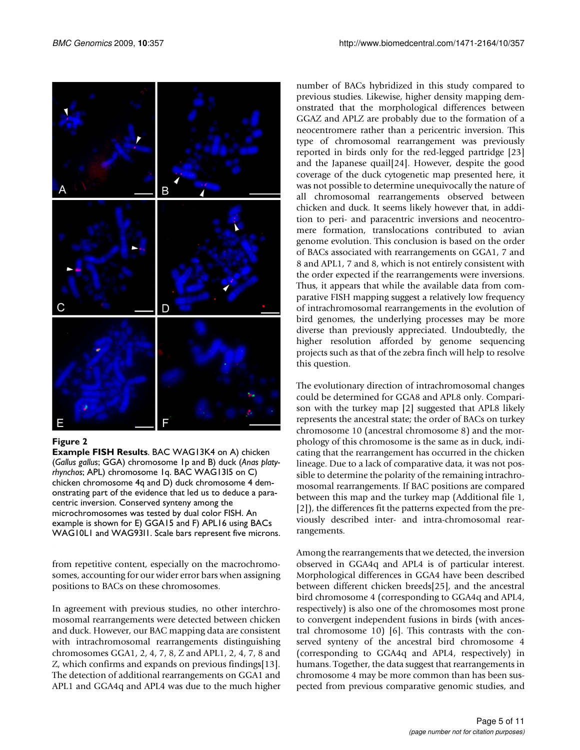<span id="page-5-0"></span>

#### **Figure 2**

**Example FISH Results**. BAC WAG13K4 on A) chicken (*Gallus gallus*; GGA) chromosome 1p and B) duck (*Anas platyrhynchos*; APL) chromosome 1q. BAC WAG13I5 on C) chicken chromosome 4q and D) duck chromosome 4 demonstrating part of the evidence that led us to deduce a paracentric inversion. Conserved synteny among the microchromosomes was tested by dual color FISH. An example is shown for E) GGA15 and F) APL16 using BACs WAG10L1 and WAG93I1. Scale bars represent five microns.

from repetitive content, especially on the macrochromosomes, accounting for our wider error bars when assigning positions to BACs on these chromosomes.

In agreement with previous studies, no other interchromosomal rearrangements were detected between chicken and duck. However, our BAC mapping data are consistent with intrachromosomal rearrangements distinguishing chromosomes GGA1, 2, 4, 7, 8, Z and APL1, 2, 4, 7, 8 and Z, which confirms and expands on previous findings[\[13](#page-9-11)]. The detection of additional rearrangements on GGA1 and APL1 and GGA4q and APL4 was due to the much higher number of BACs hybridized in this study compared to previous studies. Likewise, higher density mapping demonstrated that the morphological differences between GGAZ and APLZ are probably due to the formation of a neocentromere rather than a pericentric inversion. This type of chromosomal rearrangement was previously reported in birds only for the red-legged partridge [[23\]](#page-9-18) and the Japanese quail[\[24](#page-10-0)]. However, despite the good coverage of the duck cytogenetic map presented here, it was not possible to determine unequivocally the nature of all chromosomal rearrangements observed between chicken and duck. It seems likely however that, in addition to peri- and paracentric inversions and neocentromere formation, translocations contributed to avian genome evolution. This conclusion is based on the order of BACs associated with rearrangements on GGA1, 7 and 8 and APL1, 7 and 8, which is not entirely consistent with the order expected if the rearrangements were inversions. Thus, it appears that while the available data from comparative FISH mapping suggest a relatively low frequency of intrachromosomal rearrangements in the evolution of bird genomes, the underlying processes may be more diverse than previously appreciated. Undoubtedly, the higher resolution afforded by genome sequencing projects such as that of the zebra finch will help to resolve this question.

The evolutionary direction of intrachromosomal changes could be determined for GGA8 and APL8 only. Comparison with the turkey map [\[2\]](#page-9-1) suggested that APL8 likely represents the ancestral state; the order of BACs on turkey chromosome 10 (ancestral chromosome 8) and the morphology of this chromosome is the same as in duck, indicating that the rearrangement has occurred in the chicken lineage. Due to a lack of comparative data, it was not possible to determine the polarity of the remaining intrachromosomal rearrangements. If BAC positions are compared between this map and the turkey map (Additional file [1,](#page-9-16) [[2\]](#page-9-1)), the differences fit the patterns expected from the previously described inter- and intra-chromosomal rearrangements.

Among the rearrangements that we detected, the inversion observed in GGA4q and APL4 is of particular interest. Morphological differences in GGA4 have been described between different chicken breeds[\[25\]](#page-10-1), and the ancestral bird chromosome 4 (corresponding to GGA4q and APL4, respectively) is also one of the chromosomes most prone to convergent independent fusions in birds (with ancestral chromosome 10) [\[6\]](#page-9-5). This contrasts with the conserved synteny of the ancestral bird chromosome 4 (corresponding to GGA4q and APL4, respectively) in humans. Together, the data suggest that rearrangements in chromosome 4 may be more common than has been suspected from previous comparative genomic studies, and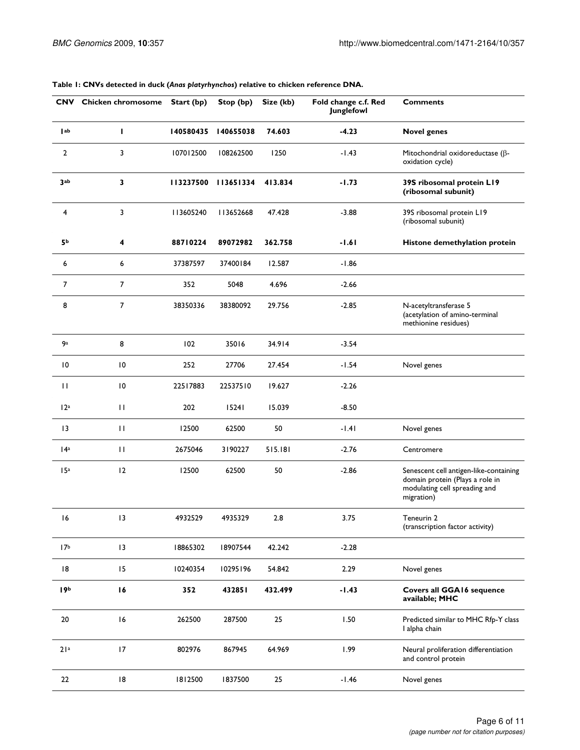|                 | <b>CNV</b> Chicken chromosome | Start (bp) | Stop (bp) | Size (kb) | Fold change c.f. Red<br>Junglefowl | <b>Comments</b>                                                                                                          |
|-----------------|-------------------------------|------------|-----------|-----------|------------------------------------|--------------------------------------------------------------------------------------------------------------------------|
| ab              | T                             | 140580435  | 140655038 | 74.603    | $-4.23$                            | <b>Novel genes</b>                                                                                                       |
| $\overline{2}$  | 3                             | 107012500  | 108262500 | 1250      | $-1.43$                            | Mitochondrial oxidoreductase ( $\beta$ -<br>oxidation cycle)                                                             |
| 3ab             | 3                             | 113237500  | 113651334 | 413.834   | $-1.73$                            | 39S ribosomal protein L19<br>(ribosomal subunit)                                                                         |
| 4               | 3                             | 113605240  | 113652668 | 47.428    | $-3.88$                            | 39S ribosomal protein L19<br>(ribosomal subunit)                                                                         |
| 5 <sup>b</sup>  | 4                             | 88710224   | 89072982  | 362.758   | $-1.61$                            | Histone demethylation protein                                                                                            |
| 6               | 6                             | 37387597   | 37400184  | 12.587    | $-1.86$                            |                                                                                                                          |
| $\overline{7}$  | 7                             | 352        | 5048      | 4.696     | $-2.66$                            |                                                                                                                          |
| 8               | 7                             | 38350336   | 38380092  | 29.756    | $-2.85$                            | N-acetyltransferase 5<br>(acetylation of amino-terminal<br>methionine residues)                                          |
| <b>9a</b>       | 8                             | 102        | 35016     | 34.914    | $-3.54$                            |                                                                                                                          |
| 10              | $\overline{10}$               | 252        | 27706     | 27.454    | $-1.54$                            | Novel genes                                                                                                              |
| $\mathbf{H}$    | $\overline{10}$               | 22517883   | 22537510  | 19.627    | $-2.26$                            |                                                                                                                          |
| 12 <sup>a</sup> | $\mathbf{H}$                  | 202        | 15241     | 15.039    | $-8.50$                            |                                                                                                                          |
| $\overline{13}$ | П                             | 12500      | 62500     | 50        | $-1.41$                            | Novel genes                                                                                                              |
| 14a             | П                             | 2675046    | 3190227   | 515.181   | $-2.76$                            | Centromere                                                                                                               |
| 15 <sup>a</sup> | 12                            | 12500      | 62500     | 50        | $-2.86$                            | Senescent cell antigen-like-containing<br>domain protein (Plays a role in<br>modulating cell spreading and<br>migration) |
| 16              | $\overline{13}$               | 4932529    | 4935329   | 2.8       | 3.75                               | Teneurin 2<br>(transcription factor activity)                                                                            |
| 17 <sup>b</sup> | 13                            | 18865302   | 18907544  | 42.242    | $-2.28$                            |                                                                                                                          |
| 18              | 15                            | 10240354   | 10295196  | 54.842    | 2.29                               | Novel genes                                                                                                              |
| 19b             | 16                            | 352        | 432851    | 432.499   | $-1.43$                            | Covers all GGA16 sequence<br>available; MHC                                                                              |
| 20              | 16                            | 262500     | 287500    | 25        | 1.50                               | Predicted similar to MHC Rfp-Y class<br>I alpha chain                                                                    |
| 21 <sup>a</sup> | 17                            | 802976     | 867945    | 64.969    | 1.99                               | Neural proliferation differentiation<br>and control protein                                                              |
| 22              | 18                            | 1812500    | 1837500   | 25        | $-1.46$                            | Novel genes                                                                                                              |

#### **Table 1: CNVs detected in duck (***Anas platyrhynchos***) relative to chicken reference DNA.**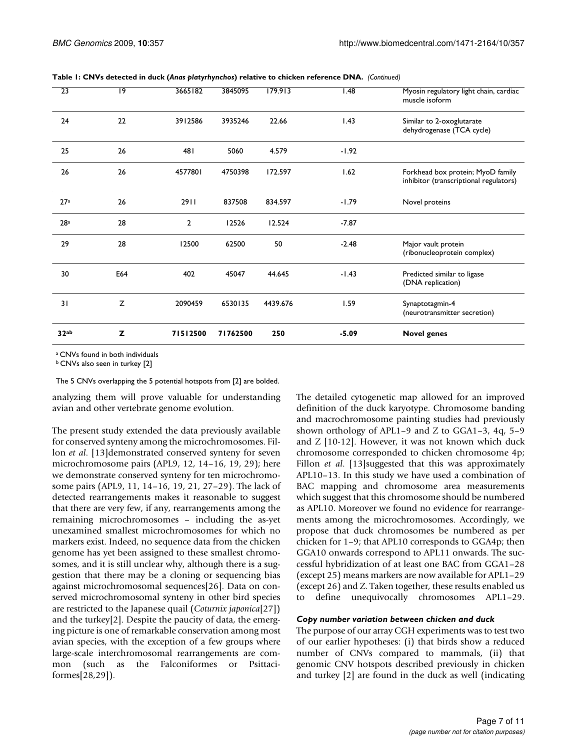| 23              | 19  | 3665182        | 3845095  | 179.913  | 1.48    | Myosin regulatory light chain, cardiac<br>muscle isoform                    |
|-----------------|-----|----------------|----------|----------|---------|-----------------------------------------------------------------------------|
| 24              | 22  | 3912586        | 3935246  | 22.66    | 1.43    | Similar to 2-oxoglutarate<br>dehydrogenase (TCA cycle)                      |
| 25              | 26  | 481            | 5060     | 4.579    | $-1.92$ |                                                                             |
| 26              | 26  | 4577801        | 4750398  | 172.597  | 1.62    | Forkhead box protein; MyoD family<br>inhibitor (transcriptional regulators) |
| 27 <sup>a</sup> | 26  | 2911           | 837508   | 834.597  | $-1.79$ | Novel proteins                                                              |
| 28 <sup>a</sup> | 28  | $\overline{2}$ | 12526    | 12.524   | $-7.87$ |                                                                             |
| 29              | 28  | 12500          | 62500    | 50       | $-2.48$ | Major vault protein<br>(ribonucleoprotein complex)                          |
| 30              | E64 | 402            | 45047    | 44.645   | $-1.43$ | Predicted similar to ligase<br>(DNA replication)                            |
| 31              | Z   | 2090459        | 6530135  | 4439.676 | 1.59    | Synaptotagmin-4<br>(neurotransmitter secretion)                             |
| 32ab            | Z   | 71512500       | 71762500 | 250      | $-5.09$ | <b>Novel genes</b>                                                          |

**Table 1: CNVs detected in duck (***Anas platyrhynchos***) relative to chicken reference DNA.** *(Continued)*

a CNVs found in both individuals

**b** CNVs also seen in turkey [[2](#page-9-1)]

The 5 CNVs overlapping the 5 potential hotspots from [\[2](#page-9-1)] are bolded.

analyzing them will prove valuable for understanding avian and other vertebrate genome evolution.

The present study extended the data previously available for conserved synteny among the microchromosomes. Fillon *et al.* [\[13\]](#page-9-11)demonstrated conserved synteny for seven microchromosome pairs (APL9, 12, 14–16, 19, 29); here we demonstrate conserved synteny for ten microchromosome pairs (APL9, 11, 14–16, 19, 21, 27–29). The lack of detected rearrangements makes it reasonable to suggest that there are very few, if any, rearrangements among the remaining microchromosomes – including the as-yet unexamined smallest microchromosomes for which no markers exist. Indeed, no sequence data from the chicken genome has yet been assigned to these smallest chromosomes, and it is still unclear why, although there is a suggestion that there may be a cloning or sequencing bias against microchromosomal sequences[\[26\]](#page-10-2). Data on conserved microchromosomal synteny in other bird species are restricted to the Japanese quail (*Coturnix japonica*[[27\]](#page-10-3)) and the turkey[\[2\]](#page-9-1). Despite the paucity of data, the emerging picture is one of remarkable conservation among most avian species, with the exception of a few groups where large-scale interchromosomal rearrangements are common (such as the Falconiformes or Psittaciformes[[28](#page-10-4),[29\]](#page-10-5)).

The detailed cytogenetic map allowed for an improved definition of the duck karyotype. Chromosome banding and macrochromosome painting studies had previously shown orthology of APL1–9 and Z to GGA1–3, 4q, 5–9 and Z [[10-](#page-9-9)[12](#page-9-10)]. However, it was not known which duck chromosome corresponded to chicken chromosome 4p; Fillon *et al.* [\[13](#page-9-11)] suggested that this was approximately APL10–13. In this study we have used a combination of BAC mapping and chromosome area measurements which suggest that this chromosome should be numbered as APL10. Moreover we found no evidence for rearrangements among the microchromosomes. Accordingly, we propose that duck chromosomes be numbered as per chicken for 1–9; that APL10 corresponds to GGA4p; then GGA10 onwards correspond to APL11 onwards. The successful hybridization of at least one BAC from GGA1–28 (except 25) means markers are now available for APL1–29 (except 26) and Z. Taken together, these results enabled us to define unequivocally chromosomes APL1–29.

#### *Copy number variation between chicken and duck*

The purpose of our array CGH experiments was to test two of our earlier hypotheses: (i) that birds show a reduced number of CNVs compared to mammals, (ii) that genomic CNV hotspots described previously in chicken and turkey [[2\]](#page-9-1) are found in the duck as well (indicating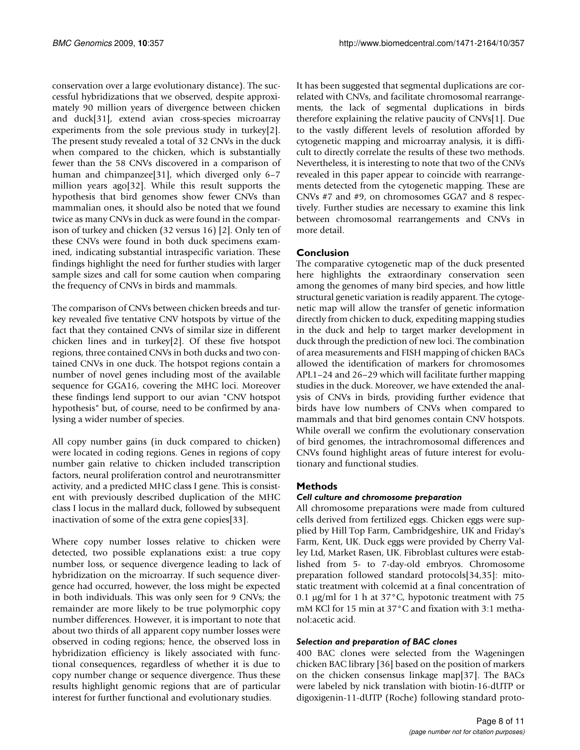conservation over a large evolutionary distance). The successful hybridizations that we observed, despite approximately 90 million years of divergence between chicken and duck[\[31\]](#page-10-6), extend avian cross-species microarray experiments from the sole previous study in turkey[[2](#page-9-1)]. The present study revealed a total of 32 CNVs in the duck when compared to the chicken, which is substantially fewer than the 58 CNVs discovered in a comparison of human and chimpanzee[[31\]](#page-10-6), which diverged only 6-7 million years ago[\[32](#page-10-7)]. While this result supports the hypothesis that bird genomes show fewer CNVs than mammalian ones, it should also be noted that we found twice as many CNVs in duck as were found in the comparison of turkey and chicken (32 versus 16) [\[2\]](#page-9-1). Only ten of these CNVs were found in both duck specimens examined, indicating substantial intraspecific variation. These findings highlight the need for further studies with larger sample sizes and call for some caution when comparing the frequency of CNVs in birds and mammals.

The comparison of CNVs between chicken breeds and turkey revealed five tentative CNV hotspots by virtue of the fact that they contained CNVs of similar size in different chicken lines and in turkey[\[2\]](#page-9-1). Of these five hotspot regions, three contained CNVs in both ducks and two contained CNVs in one duck. The hotspot regions contain a number of novel genes including most of the available sequence for GGA16, covering the MHC loci. Moreover these findings lend support to our avian "CNV hotspot hypothesis" but, of course, need to be confirmed by analysing a wider number of species.

All copy number gains (in duck compared to chicken) were located in coding regions. Genes in regions of copy number gain relative to chicken included transcription factors, neural proliferation control and neurotransmitter activity, and a predicted MHC class I gene. This is consistent with previously described duplication of the MHC class I locus in the mallard duck, followed by subsequent inactivation of some of the extra gene copies[[33\]](#page-10-8).

Where copy number losses relative to chicken were detected, two possible explanations exist: a true copy number loss, or sequence divergence leading to lack of hybridization on the microarray. If such sequence divergence had occurred, however, the loss might be expected in both individuals. This was only seen for 9 CNVs; the remainder are more likely to be true polymorphic copy number differences. However, it is important to note that about two thirds of all apparent copy number losses were observed in coding regions; hence, the observed loss in hybridization efficiency is likely associated with functional consequences, regardless of whether it is due to copy number change or sequence divergence. Thus these results highlight genomic regions that are of particular interest for further functional and evolutionary studies.

It has been suggested that segmental duplications are correlated with CNVs, and facilitate chromosomal rearrangements, the lack of segmental duplications in birds therefore explaining the relative paucity of CNVs[\[1\]](#page-9-0). Due to the vastly different levels of resolution afforded by cytogenetic mapping and microarray analysis, it is difficult to directly correlate the results of these two methods. Nevertheless, it is interesting to note that two of the CNVs revealed in this paper appear to coincide with rearrangements detected from the cytogenetic mapping. These are CNVs #7 and #9, on chromosomes GGA7 and 8 respectively. Further studies are necessary to examine this link between chromosomal rearrangements and CNVs in more detail.

#### **Conclusion**

The comparative cytogenetic map of the duck presented here highlights the extraordinary conservation seen among the genomes of many bird species, and how little structural genetic variation is readily apparent. The cytogenetic map will allow the transfer of genetic information directly from chicken to duck, expediting mapping studies in the duck and help to target marker development in duck through the prediction of new loci. The combination of area measurements and FISH mapping of chicken BACs allowed the identification of markers for chromosomes APL1–24 and 26–29 which will facilitate further mapping studies in the duck. Moreover, we have extended the analysis of CNVs in birds, providing further evidence that birds have low numbers of CNVs when compared to mammals and that bird genomes contain CNV hotspots. While overall we confirm the evolutionary conservation of bird genomes, the intrachromosomal differences and CNVs found highlight areas of future interest for evolutionary and functional studies.

#### **Methods**

#### *Cell culture and chromosome preparation*

All chromosome preparations were made from cultured cells derived from fertilized eggs. Chicken eggs were supplied by Hill Top Farm, Cambridgeshire, UK and Friday's Farm, Kent, UK. Duck eggs were provided by Cherry Valley Ltd, Market Rasen, UK. Fibroblast cultures were established from 5- to 7-day-old embryos. Chromosome preparation followed standard protocols[\[34](#page-10-9),[35](#page-10-10)]: mitostatic treatment with colcemid at a final concentration of 0.1 μg/ml for 1 h at  $37^{\circ}$ C, hypotonic treatment with 75 mM KCl for 15 min at 37°C and fixation with 3:1 methanol:acetic acid.

#### *Selection and preparation of BAC clones*

400 BAC clones were selected from the Wageningen chicken BAC library [\[36\]](#page-10-11) based on the position of markers on the chicken consensus linkage map[[37\]](#page-10-12). The BACs were labeled by nick translation with biotin-16-dUTP or digoxigenin-11-dUTP (Roche) following standard proto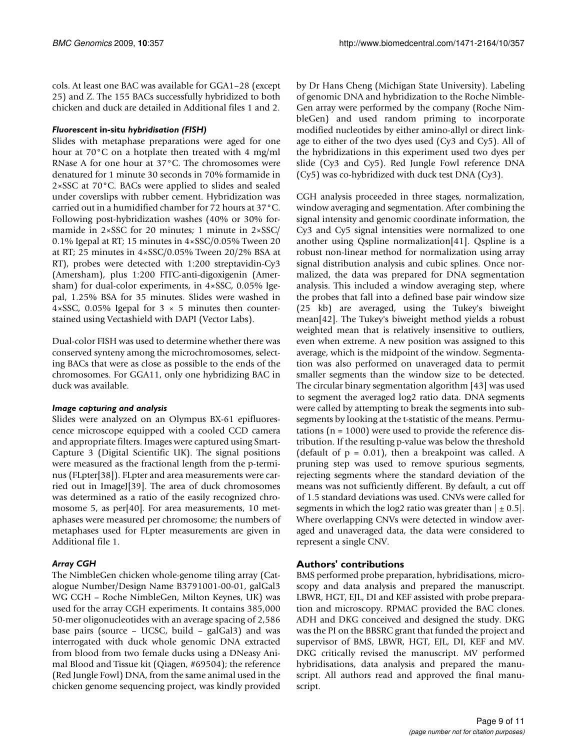cols. At least one BAC was available for GGA1–28 (except 25) and Z. The 155 BACs successfully hybridized to both chicken and duck are detailed in Additional files [1](#page-9-16) and [2](#page-9-17).

#### <span id="page-9-16"></span>*Fluorescent* **in-situ** *hybridisation (FISH)*

<span id="page-9-17"></span>Slides with metaphase preparations were aged for one hour at 70°C on a hotplate then treated with 4 mg/ml RNase A for one hour at 37°C. The chromosomes were denatured for 1 minute 30 seconds in 70% formamide in 2×SSC at 70°C. BACs were applied to slides and sealed under coverslips with rubber cement. Hybridization was carried out in a humidified chamber for 72 hours at 37°C. Following post-hybridization washes (40% or 30% formamide in 2×SSC for 20 minutes; 1 minute in 2×SSC/ 0.1% Igepal at RT; 15 minutes in 4×SSC/0.05% Tween 20 at RT; 25 minutes in 4×SSC/0.05% Tween 20/2% BSA at RT), probes were detected with 1:200 streptavidin-Cy3 (Amersham), plus 1:200 FITC-anti-digoxigenin (Amersham) for dual-color experiments, in 4×SSC, 0.05% Igepal, 1.25% BSA for 35 minutes. Slides were washed in  $4 \times$ SSC, 0.05% Igepal for 3  $\times$  5 minutes then counterstained using Vectashield with DAPI (Vector Labs).

Dual-color FISH was used to determine whether there was conserved synteny among the microchromosomes, selecting BACs that were as close as possible to the ends of the chromosomes. For GGA11, only one hybridizing BAC in duck was available.

#### <span id="page-9-0"></span>*Image capturing and analysis*

Slides were analyzed on an Olympus BX-61 epifluorescence microscope equipped with a cooled CCD camera and appropriate filters. Images were captured using Smart-Capture 3 (Digital Scientific UK). The signal positions were measured as the fractional length from the p-terminus (FLpter[\[38](#page-10-13)]). FLpter and area measurements were carried out in ImageJ[\[39](#page-10-14)]. The area of duck chromosomes was determined as a ratio of the easily recognized chromosome 5, as per[\[40](#page-10-15)]. For area measurements, 10 metaphases were measured per chromosome; the numbers of metaphases used for FLpter measurements are given in Additional file [1.](#page-9-16)

#### <span id="page-9-1"></span>*Array CGH*

<span id="page-9-4"></span><span id="page-9-3"></span><span id="page-9-2"></span>The NimbleGen chicken whole-genome tiling array (Catalogue Number/Design Name B3791001-00-01, galGal3 WG CGH – Roche NimbleGen, Milton Keynes, UK) was used for the array CGH experiments. It contains 385,000 50-mer oligonucleotides with an average spacing of 2,586 base pairs (source – UCSC, build – galGal3) and was interrogated with duck whole genomic DNA extracted from blood from two female ducks using a DNeasy Animal Blood and Tissue kit (Qiagen, #69504); the reference (Red Jungle Fowl) DNA, from the same animal used in the chicken genome sequencing project, was kindly provided <span id="page-9-7"></span><span id="page-9-6"></span><span id="page-9-5"></span>by Dr Hans Cheng (Michigan State University). Labeling of genomic DNA and hybridization to the Roche Nimble-Gen array were performed by the company (Roche NimbleGen) and used random priming to incorporate modified nucleotides by either amino-allyl or direct linkage to either of the two dyes used (Cy3 and Cy5). All of the hybridizations in this experiment used two dyes per slide (Cy3 and Cy5). Red Jungle Fowl reference DNA (Cy5) was co-hybridized with duck test DNA (Cy3).

<span id="page-9-11"></span><span id="page-9-10"></span><span id="page-9-9"></span><span id="page-9-8"></span>CGH analysis proceeded in three stages, normalization, window averaging and segmentation. After combining the signal intensity and genomic coordinate information, the Cy3 and Cy5 signal intensities were normalized to one another using Qspline normalization[\[41](#page-10-16)]. Qspline is a robust non-linear method for normalization using array signal distribution analysis and cubic splines. Once normalized, the data was prepared for DNA segmentation analysis. This included a window averaging step, where the probes that fall into a defined base pair window size (25 kb) are averaged, using the Tukey's biweight mean[\[42\]](#page-10-17). The Tukey's biweight method yields a robust weighted mean that is relatively insensitive to outliers, even when extreme. A new position was assigned to this average, which is the midpoint of the window. Segmentation was also performed on unaveraged data to permit smaller segments than the window size to be detected. The circular binary segmentation algorithm [\[43\]](#page-10-18) was used to segment the averaged log2 ratio data. DNA segments were called by attempting to break the segments into subsegments by looking at the t-statistic of the means. Permutations ( $n = 1000$ ) were used to provide the reference distribution. If the resulting p-value was below the threshold (default of  $p = 0.01$ ), then a breakpoint was called. A pruning step was used to remove spurious segments, rejecting segments where the standard deviation of the means was not sufficiently different. By default, a cut off of 1.5 standard deviations was used. CNVs were called for segments in which the log2 ratio was greater than  $\vert \pm 0.5 \vert$ . Where overlapping CNVs were detected in window averaged and unaveraged data, the data were considered to represent a single CNV.

#### <span id="page-9-14"></span><span id="page-9-13"></span><span id="page-9-12"></span>**Authors' contributions**

<span id="page-9-18"></span><span id="page-9-15"></span>BMS performed probe preparation, hybridisations, microscopy and data analysis and prepared the manuscript. LBWR, HGT, EJL, DI and KEF assisted with probe preparation and microscopy. RPMAC provided the BAC clones. ADH and DKG conceived and designed the study. DKG was the PI on the BBSRC grant that funded the project and supervisor of BMS, LBWR, HGT, EJL, DI, KEF and MV. DKG critically revised the manuscript. MV performed hybridisations, data analysis and prepared the manuscript. All authors read and approved the final manuscript.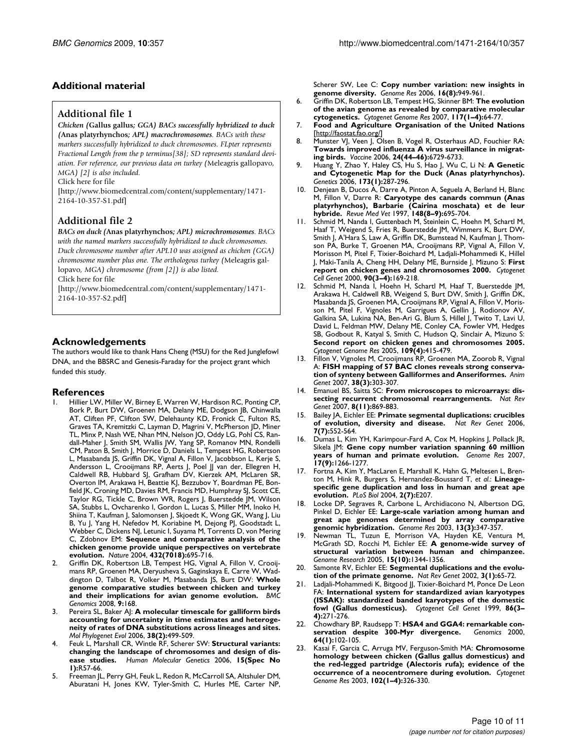#### <span id="page-10-0"></span>**Additional material**

#### <span id="page-10-1"></span>**Additional file 1**

<span id="page-10-2"></span>*Chicken (***Gallus gallus***; GGA) BACs successfully hybridized to duck (***Anas platyrhynchos***; APL) macrochromosomes. BACs with these markers successfully hybridized to duck chromosomes. FLpter represents Fractional Length from the p terminus[\[38\]](#page-10-13); SD represents standard deviation. For reference, our previous data on turkey (*Meleagris gallopavo*, MGA) [[2](#page-9-1)] is also included.*

<span id="page-10-3"></span>Click here for file

[\[http://www.biomedcentral.com/content/supplementary/1471-](http://www.biomedcentral.com/content/supplementary/1471-2164-10-357-S1.pdf) 2164-10-357-S1.pdf]

#### **Additional file 2**

<span id="page-10-4"></span>*BACs on duck (***Anas platyrhynchos***; APL) microchromosomes. BACs with the named markers successfully hybridized to duck chromosomes. Duck chromosome number after APL10 was assigned as chicken (GGA) chromosome number plus one. The orthologous turkey (*Meleagris gallopavo*, MGA) chromosome (from [[2](#page-9-1)]) is also listed.* Click here for file

<span id="page-10-5"></span>[\[http://www.biomedcentral.com/content/supplementary/1471-](http://www.biomedcentral.com/content/supplementary/1471-2164-10-357-S2.pdf) 2164-10-357-S2.pdf]

#### <span id="page-10-6"></span>**Acknowledgements**

<span id="page-10-8"></span><span id="page-10-7"></span>The authors would like to thank Hans Cheng (MSU) for the Red Junglefowl DNA, and the BBSRC and Genesis-Faraday for the project grant which funded this study.

#### <span id="page-10-9"></span>**References**

- <span id="page-10-11"></span><span id="page-10-10"></span>Hillier LW, Miller W, Birney E, Warren W, Hardison RC, Ponting CP, Bork P, Burt DW, Groenen MA, Delany ME, Dodgson JB, Chinwalla AT, Cliften PF, Clifton SW, Delehaunty KD, Fronick C, Fulton RS, Graves TA, Kremitzki C, Layman D, Magrini V, McPherson JD, Miner TL, Minx P, Nash WE, Nhan MN, Nelson JO, Oddy LG, Pohl CS, Randall-Maher J, Smith SM, Wallis JW, Yang SP, Romanov MN, Rondelli CM, Paton B, Smith J, Morrice D, Daniels L, Tempest HG, Robertson L, Masabanda JS, Griffin DK, Vignal A, Fillon V, Jacobbson L, Kerje S, Andersson L, Crooijmans RP, Aerts J, Poel JJ van der, Ellegren H, Caldwell RB, Hubbard SJ, Grafham DV, Kierzek AM, McLaren SR, Overton IM, Arakawa H, Beattie KJ, Bezzubov Y, Boardman PE, Bonfield JK, Croning MD, Davies RM, Francis MD, Humphray SJ, Scott CE, Taylor RG, Tickle C, Brown WR, Rogers J, Buerstedde JM, Wilson SA, Stubbs L, Ovcharenko I, Gordon L, Lucas S, Miller MM, Inoko H, Shiina T, Kaufman J, Salomonsen J, Skjoedt K, Wong GK, Wang J, Liu B, Yu J, Yang H, Nefedov M, Koriabine M, Dejong PJ, Goodstadt L, Webber C, Dickens NJ, Letunic I, Suyama M, Torrents D, von Mering C, Zdobnov EM: **[Sequence and comparative analysis of the](http://www.ncbi.nlm.nih.gov/entrez/query.fcgi?cmd=Retrieve&db=PubMed&dopt=Abstract&list_uids=15592404) [chicken genome provide unique perspectives on vertebrate](http://www.ncbi.nlm.nih.gov/entrez/query.fcgi?cmd=Retrieve&db=PubMed&dopt=Abstract&list_uids=15592404) [evolution.](http://www.ncbi.nlm.nih.gov/entrez/query.fcgi?cmd=Retrieve&db=PubMed&dopt=Abstract&list_uids=15592404)** *Nature* 2004, **432(7018):**695-716.
- <span id="page-10-15"></span><span id="page-10-14"></span><span id="page-10-13"></span><span id="page-10-12"></span>2. Griffin DK, Robertson LB, Tempest HG, Vignal A, Fillon V, Crooijmans RP, Groenen MA, Deryusheva S, Gaginskaya E, Carre W, Waddington D, Talbot R, Volker M, Masabanda JS, Burt DW: **[Whole](http://www.ncbi.nlm.nih.gov/entrez/query.fcgi?cmd=Retrieve&db=PubMed&dopt=Abstract&list_uids=18410676) [genome comparative studies between chicken and turkey](http://www.ncbi.nlm.nih.gov/entrez/query.fcgi?cmd=Retrieve&db=PubMed&dopt=Abstract&list_uids=18410676) [and their implications for avian genome evolution.](http://www.ncbi.nlm.nih.gov/entrez/query.fcgi?cmd=Retrieve&db=PubMed&dopt=Abstract&list_uids=18410676)** *BMC Genomics* 2008, **9:**168.
- <span id="page-10-16"></span>Pereira SL, Baker AJ: [A molecular timescale for galliform birds](http://www.ncbi.nlm.nih.gov/entrez/query.fcgi?cmd=Retrieve&db=PubMed&dopt=Abstract&list_uids=16112881) **[accounting for uncertainty in time estimates and heteroge](http://www.ncbi.nlm.nih.gov/entrez/query.fcgi?cmd=Retrieve&db=PubMed&dopt=Abstract&list_uids=16112881)neity of rates of DNA substitutions across lineages and sites.** *Mol Phylogenet Evol* 2006, **38(2):**499-509.
- <span id="page-10-17"></span>4. Feuk L, Marshall CR, Wintle RF, Scherer SW: **[Structural variants:](http://www.ncbi.nlm.nih.gov/entrez/query.fcgi?cmd=Retrieve&db=PubMed&dopt=Abstract&list_uids=16651370) [changing the landscape of chromosomes and design of dis](http://www.ncbi.nlm.nih.gov/entrez/query.fcgi?cmd=Retrieve&db=PubMed&dopt=Abstract&list_uids=16651370)[ease studies.](http://www.ncbi.nlm.nih.gov/entrez/query.fcgi?cmd=Retrieve&db=PubMed&dopt=Abstract&list_uids=16651370)** *Human Molecular Genetics* 2006, **15(Spec No 1):**R57-66.
- <span id="page-10-18"></span>5. Freeman JL, Perry GH, Feuk L, Redon R, McCarroll SA, Altshuler DM, Aburatani H, Jones KW, Tyler-Smith C, Hurles ME, Carter NP,

Scherer SW, Lee C: **[Copy number variation: new insights in](http://www.ncbi.nlm.nih.gov/entrez/query.fcgi?cmd=Retrieve&db=PubMed&dopt=Abstract&list_uids=16809666) [genome diversity.](http://www.ncbi.nlm.nih.gov/entrez/query.fcgi?cmd=Retrieve&db=PubMed&dopt=Abstract&list_uids=16809666)** *Genome Res* 2006, **16(8):**949-961.

- 6. Griffin DK, Robertson LB, Tempest HG, Skinner BM: **[The evolution](http://www.ncbi.nlm.nih.gov/entrez/query.fcgi?cmd=Retrieve&db=PubMed&dopt=Abstract&list_uids=17675846) [of the avian genome as revealed by comparative molecular](http://www.ncbi.nlm.nih.gov/entrez/query.fcgi?cmd=Retrieve&db=PubMed&dopt=Abstract&list_uids=17675846) [cytogenetics.](http://www.ncbi.nlm.nih.gov/entrez/query.fcgi?cmd=Retrieve&db=PubMed&dopt=Abstract&list_uids=17675846)** *Cytogenet Genome Res* 2007, **117(1–4):**64-77.
- 7. **Food and Agriculture Organisation of the United Nations** [[http://faostat.fao.org/\]](http://faostat.fao.org/)
- 8. Munster VJ, Veen J, Olsen B, Vogel R, Osterhaus AD, Fouchier RA: **[Towards improved influenza A virus surveillance in migrat](http://www.ncbi.nlm.nih.gov/entrez/query.fcgi?cmd=Retrieve&db=PubMed&dopt=Abstract&list_uids=16806601)[ing birds.](http://www.ncbi.nlm.nih.gov/entrez/query.fcgi?cmd=Retrieve&db=PubMed&dopt=Abstract&list_uids=16806601)** *Vaccine* 2006, **24(44–46):**6729-6733.
- 9. Huang Y, Zhao Y, Haley CS, Hu S, Hao J, Wu C, Li N: **[A Genetic](http://www.ncbi.nlm.nih.gov/entrez/query.fcgi?cmd=Retrieve&db=PubMed&dopt=Abstract&list_uids=16510785) [and Cytogenetic Map for the Duck \(Anas platyrhynchos\).](http://www.ncbi.nlm.nih.gov/entrez/query.fcgi?cmd=Retrieve&db=PubMed&dopt=Abstract&list_uids=16510785)** *Genetics* 2006, **173(1):**287-296.
- 10. Denjean B, Ducos A, Darre A, Pinton A, Seguela A, Berland H, Blanc M, Fillon V, Darre R: **Caryotype des canards commun (Anas platyrhynchos), Barbarie (Cairina moschata) et de leur hybride.** *Revue Med Vet* 1997, **148(8–9):**695-704.
- 11. Schmid M, Nanda I, Guttenbach M, Steinlein C, Hoehn M, Schartl M, Haaf T, Weigend S, Fries R, Buerstedde JM, Wimmers K, Burt DW, Smith J, A'Hara S, Law A, Griffin DK, Bumstead N, Kaufman J, Thomson PA, Burke T, Groenen MA, Crooijmans RP, Vignal A, Fillon V, Morisson M, Pitel F, Tixier-Boichard M, Ladjali-Mohammedi K, Hillel J, Maki-Tanila A, Cheng HH, Delany ME, Burnside J, Mizuno S: **[First](http://www.ncbi.nlm.nih.gov/entrez/query.fcgi?cmd=Retrieve&db=PubMed&dopt=Abstract&list_uids=11124517) [report on chicken genes and chromosomes 2000.](http://www.ncbi.nlm.nih.gov/entrez/query.fcgi?cmd=Retrieve&db=PubMed&dopt=Abstract&list_uids=11124517)** *Cytogenet Cell Genet* 2000, **90(3–4):**169-218.
- 12. Schmid M, Nanda I, Hoehn H, Schartl M, Haaf T, Buerstedde JM, Arakawa H, Caldwell RB, Weigend S, Burt DW, Smith J, Griffin DK, Masabanda JS, Groenen MA, Crooijmans RP, Vignal A, Fillon V, Morisson M, Pitel F, Vignoles M, Garrigues A, Gellin J, Rodionov AV, Galkina SA, Lukina NA, Ben-Ari G, Blum S, Hillel J, Twito T, Lavi U, David L, Feldman MW, Delany ME, Conley CA, Fowler VM, Hedges SB, Godbout R, Katyal S, Smith C, Hudson Q, Sinclair A, Mizuno S: **[Second report on chicken genes and chromosomes 2005.](http://www.ncbi.nlm.nih.gov/entrez/query.fcgi?cmd=Retrieve&db=PubMed&dopt=Abstract&list_uids=15905640)** *Cytogenet Genome Res* 2005, **109(4):**415-479.
- 13. Fillon V, Vignoles M, Crooijmans RP, Groenen MA, Zoorob R, Vignal A: **[FISH mapping of 57 BAC clones reveals strong conserva](http://www.ncbi.nlm.nih.gov/entrez/query.fcgi?cmd=Retrieve&db=PubMed&dopt=Abstract&list_uids=17539975)[tion of synteny between Galliformes and Anseriformes.](http://www.ncbi.nlm.nih.gov/entrez/query.fcgi?cmd=Retrieve&db=PubMed&dopt=Abstract&list_uids=17539975)** *Anim Genet* 2007, **38(3):**303-307.
- 14. Emanuel BS, Saitta SC: **[From microscopes to microarrays: dis](http://www.ncbi.nlm.nih.gov/entrez/query.fcgi?cmd=Retrieve&db=PubMed&dopt=Abstract&list_uids=17943194)[secting recurrent chromosomal rearrangements.](http://www.ncbi.nlm.nih.gov/entrez/query.fcgi?cmd=Retrieve&db=PubMed&dopt=Abstract&list_uids=17943194)** *Nat Rev Genet* 2007, **8(11):**869-883.
- 15. Bailey JA, Eichler EE: **[Primate segmental duplications: crucibles](http://www.ncbi.nlm.nih.gov/entrez/query.fcgi?cmd=Retrieve&db=PubMed&dopt=Abstract&list_uids=16770338) [of evolution, diversity and disease.](http://www.ncbi.nlm.nih.gov/entrez/query.fcgi?cmd=Retrieve&db=PubMed&dopt=Abstract&list_uids=16770338)** *Nat Rev Genet* 2006, **7(7):**552-564.
- Dumas L, Kim YH, Karimpour-Fard A, Cox M, Hopkins J, Pollack JR, Sikela JM: **[Gene copy number variation spanning 60 million](http://www.ncbi.nlm.nih.gov/entrez/query.fcgi?cmd=Retrieve&db=PubMed&dopt=Abstract&list_uids=17666543) [years of human and primate evolution.](http://www.ncbi.nlm.nih.gov/entrez/query.fcgi?cmd=Retrieve&db=PubMed&dopt=Abstract&list_uids=17666543)** *Genome Res* 2007, **17(9):**1266-1277.
- 17. Fortna A, Kim Y, MacLaren E, Marshall K, Hahn G, Meltesen L, Brenton M, Hink R, Burgers S, Hernandez-Boussard T, *et al.*: **[Lineage](http://www.ncbi.nlm.nih.gov/entrez/query.fcgi?cmd=Retrieve&db=PubMed&dopt=Abstract&list_uids=15252450)[specific gene duplication and loss in human and great ape](http://www.ncbi.nlm.nih.gov/entrez/query.fcgi?cmd=Retrieve&db=PubMed&dopt=Abstract&list_uids=15252450) [evolution.](http://www.ncbi.nlm.nih.gov/entrez/query.fcgi?cmd=Retrieve&db=PubMed&dopt=Abstract&list_uids=15252450)** *PLoS Biol* 2004, **2(7):**E207.
- 18. Locke DP, Segraves R, Carbone L, Archidiacono N, Albertson DG, Pinkel D, Eichler EE: **[Large-scale variation among human and](http://www.ncbi.nlm.nih.gov/entrez/query.fcgi?cmd=Retrieve&db=PubMed&dopt=Abstract&list_uids=12618365) [great ape genomes determined by array comparative](http://www.ncbi.nlm.nih.gov/entrez/query.fcgi?cmd=Retrieve&db=PubMed&dopt=Abstract&list_uids=12618365) [genomic hybridization.](http://www.ncbi.nlm.nih.gov/entrez/query.fcgi?cmd=Retrieve&db=PubMed&dopt=Abstract&list_uids=12618365)** *Genome Res* 2003, **13(3):**347-357.
- 19. Newman TL, Tuzun E, Morrison VA, Hayden KE, Ventura M, McGrath SD, Rocchi M, Eichler EE: **[A genome-wide survey of](http://www.ncbi.nlm.nih.gov/entrez/query.fcgi?cmd=Retrieve&db=PubMed&dopt=Abstract&list_uids=16169929) [structural variation between human and chimpanzee.](http://www.ncbi.nlm.nih.gov/entrez/query.fcgi?cmd=Retrieve&db=PubMed&dopt=Abstract&list_uids=16169929)** *Genome Research* 2005, **15(10):**1344-1356.
- 20. Samonte RV, Eichler EE: **[Segmental duplications and the evolu](http://www.ncbi.nlm.nih.gov/entrez/query.fcgi?cmd=Retrieve&db=PubMed&dopt=Abstract&list_uids=11823792)[tion of the primate genome.](http://www.ncbi.nlm.nih.gov/entrez/query.fcgi?cmd=Retrieve&db=PubMed&dopt=Abstract&list_uids=11823792)** *Nat Rev Genet* 2002, **3(1):**65-72.
- Ladjali-Mohammedi K, Bitgood JJ, Tixier-Boichard M, Ponce De Leon FA: **[International system for standardized avian karyotypes](http://www.ncbi.nlm.nih.gov/entrez/query.fcgi?cmd=Retrieve&db=PubMed&dopt=Abstract&list_uids=10575225) [\(ISSAK\): standardized banded karyotypes of the domestic](http://www.ncbi.nlm.nih.gov/entrez/query.fcgi?cmd=Retrieve&db=PubMed&dopt=Abstract&list_uids=10575225) [fowl \(Gallus domesticus\).](http://www.ncbi.nlm.nih.gov/entrez/query.fcgi?cmd=Retrieve&db=PubMed&dopt=Abstract&list_uids=10575225)** *Cytogenet Cell Genet* 1999, **86(3– 4):**271-276.
- 22. Chowdhary BP, Raudsepp T: **HSA4 and GGA4: remarkable con-**<br>servation despite 300-Myr divergence. Genomics 2000, [servation despite 300-Myr divergence.](http://www.ncbi.nlm.nih.gov/entrez/query.fcgi?cmd=Retrieve&db=PubMed&dopt=Abstract&list_uids=10708523) **64(1):**102-105.
- 23. Kasai F, Garcia C, Arruga MV, Ferguson-Smith MA: **[Chromosome](http://www.ncbi.nlm.nih.gov/entrez/query.fcgi?cmd=Retrieve&db=PubMed&dopt=Abstract&list_uids=14970724) [homology between chicken \(Gallus gallus domesticus\) and](http://www.ncbi.nlm.nih.gov/entrez/query.fcgi?cmd=Retrieve&db=PubMed&dopt=Abstract&list_uids=14970724) the red-legged partridge (Alectoris rufa); evidence of the [occurrence of a neocentromere during evolution.](http://www.ncbi.nlm.nih.gov/entrez/query.fcgi?cmd=Retrieve&db=PubMed&dopt=Abstract&list_uids=14970724)** *Cytogenet Genome Res* 2003, **102(1–4):**326-330.